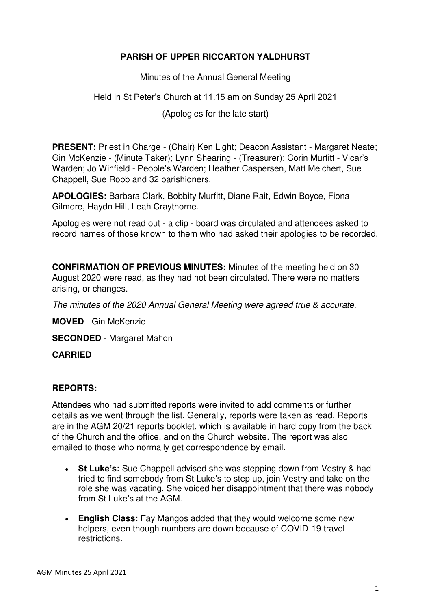# **PARISH OF UPPER RICCARTON YALDHURST**

Minutes of the Annual General Meeting

## Held in St Peter's Church at 11.15 am on Sunday 25 April 2021

(Apologies for the late start)

**PRESENT:** Priest in Charge - (Chair) Ken Light; Deacon Assistant - Margaret Neate; Gin McKenzie - (Minute Taker); Lynn Shearing - (Treasurer); Corin Murfitt - Vicar's Warden; Jo Winfield - People's Warden; Heather Caspersen, Matt Melchert, Sue Chappell, Sue Robb and 32 parishioners.

**APOLOGIES:** Barbara Clark, Bobbity Murfitt, Diane Rait, Edwin Boyce, Fiona Gilmore, Haydn Hill, Leah Craythorne.

Apologies were not read out - a clip - board was circulated and attendees asked to record names of those known to them who had asked their apologies to be recorded.

**CONFIRMATION OF PREVIOUS MINUTES:** Minutes of the meeting held on 30 August 2020 were read, as they had not been circulated. There were no matters arising, or changes.

*The minutes of the 2020 Annual General Meeting were agreed true & accurate.* 

**MOVED** - Gin McKenzie

**SECONDED** - Margaret Mahon

#### **CARRIED**

## **REPORTS:**

Attendees who had submitted reports were invited to add comments or further details as we went through the list. Generally, reports were taken as read. Reports are in the AGM 20/21 reports booklet, which is available in hard copy from the back of the Church and the office, and on the Church website. The report was also emailed to those who normally get correspondence by email.

- **St Luke's:** Sue Chappell advised she was stepping down from Vestry & had tried to find somebody from St Luke's to step up, join Vestry and take on the role she was vacating. She voiced her disappointment that there was nobody from St Luke's at the AGM.
- **English Class:** Fay Mangos added that they would welcome some new helpers, even though numbers are down because of COVID-19 travel restrictions.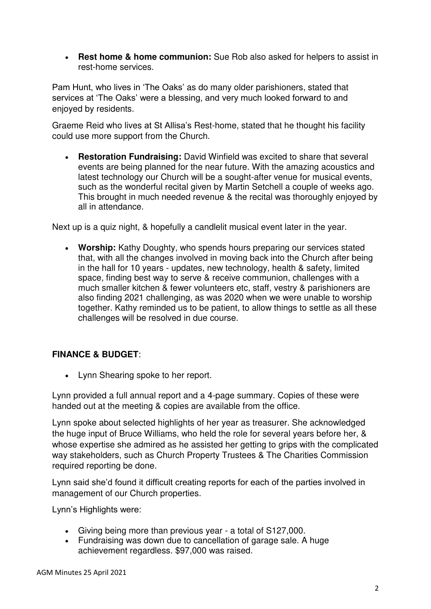**Rest home & home communion:** Sue Rob also asked for helpers to assist in rest-home services.

Pam Hunt, who lives in 'The Oaks' as do many older parishioners, stated that services at 'The Oaks' were a blessing, and very much looked forward to and enjoyed by residents.

Graeme Reid who lives at St Allisa's Rest-home, stated that he thought his facility could use more support from the Church.

 **Restoration Fundraising:** David Winfield was excited to share that several events are being planned for the near future. With the amazing acoustics and latest technology our Church will be a sought-after venue for musical events, such as the wonderful recital given by Martin Setchell a couple of weeks ago. This brought in much needed revenue & the recital was thoroughly enjoyed by all in attendance.

Next up is a quiz night, & hopefully a candlelit musical event later in the year.

 **Worship:** Kathy Doughty, who spends hours preparing our services stated that, with all the changes involved in moving back into the Church after being in the hall for 10 years - updates, new technology, health & safety, limited space, finding best way to serve & receive communion, challenges with a much smaller kitchen & fewer volunteers etc, staff, vestry & parishioners are also finding 2021 challenging, as was 2020 when we were unable to worship together. Kathy reminded us to be patient, to allow things to settle as all these challenges will be resolved in due course.

## **FINANCE & BUDGET**:

Lynn Shearing spoke to her report.

Lynn provided a full annual report and a 4-page summary. Copies of these were handed out at the meeting & copies are available from the office.

Lynn spoke about selected highlights of her year as treasurer. She acknowledged the huge input of Bruce Williams, who held the role for several years before her, & whose expertise she admired as he assisted her getting to grips with the complicated way stakeholders, such as Church Property Trustees & The Charities Commission required reporting be done.

Lynn said she'd found it difficult creating reports for each of the parties involved in management of our Church properties.

Lynn's Highlights were:

- Giving being more than previous year a total of S127,000.
- Fundraising was down due to cancellation of garage sale. A huge achievement regardless. \$97,000 was raised.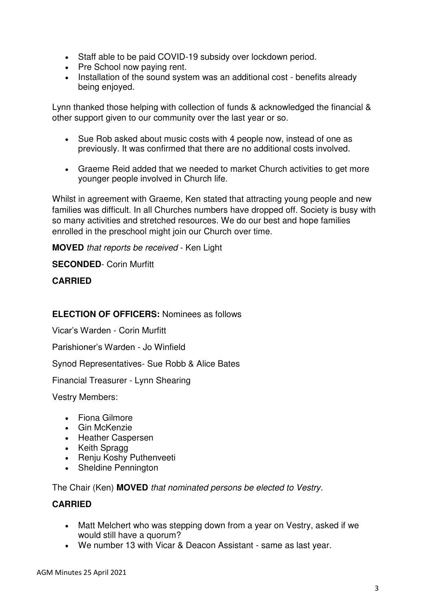- Staff able to be paid COVID-19 subsidy over lockdown period.
- Pre School now paying rent.
- Installation of the sound system was an additional cost benefits already being enjoyed.

Lynn thanked those helping with collection of funds & acknowledged the financial & other support given to our community over the last year or so.

- Sue Rob asked about music costs with 4 people now, instead of one as previously. It was confirmed that there are no additional costs involved.
- Graeme Reid added that we needed to market Church activities to get more younger people involved in Church life.

Whilst in agreement with Graeme, Ken stated that attracting young people and new families was difficult. In all Churches numbers have dropped off. Society is busy with so many activities and stretched resources. We do our best and hope families enrolled in the preschool might join our Church over time.

**MOVED** *that reports be received* - Ken Light

**SECONDED**- Corin Murfitt

### **CARRIED**

### **ELECTION OF OFFICERS:** Nominees as follows

Vicar's Warden - Corin Murfitt

Parishioner's Warden - Jo Winfield

Synod Representatives- Sue Robb & Alice Bates

Financial Treasurer - Lynn Shearing

Vestry Members:

- Fiona Gilmore
- Gin McKenzie
- Heather Caspersen
- Keith Spragg
- Renju Koshy Puthenveeti
- Sheldine Pennington

The Chair (Ken) **MOVED** *that nominated persons be elected to Vestry*.

#### **CARRIED**

- Matt Melchert who was stepping down from a year on Vestry, asked if we would still have a quorum?
- We number 13 with Vicar & Deacon Assistant same as last year.